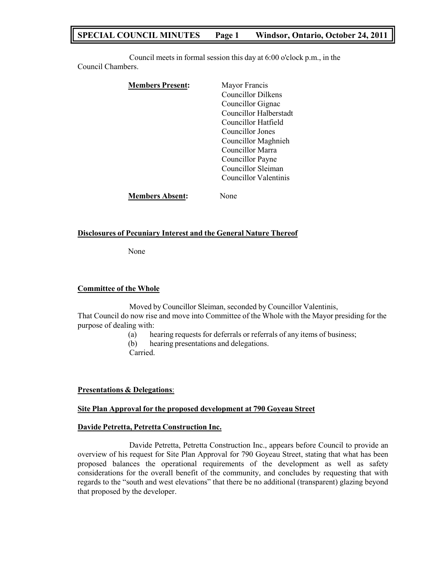# **SPECIAL COUNCIL MINUTES Page 1 Windsor, Ontario, October 24, 2011**

Council meets in formal session this day at 6:00 o'clock p.m., in the Council Chambers.

| <b>Members Present:</b> | Mayor Francis             |
|-------------------------|---------------------------|
|                         | <b>Councillor Dilkens</b> |
|                         | Councillor Gignac         |
|                         | Councillor Halberstadt    |
|                         | Councillor Hatfield       |
|                         | Councillor Jones          |
|                         | Councillor Maghnieh       |
|                         | Councillor Marra          |
|                         | Councillor Payne          |
|                         | Councillor Sleiman        |
|                         | Councillor Valentinis     |
| <b>Members Absent:</b>  | Jone                      |

### **Disclosures of Pecuniary Interest and the General Nature Thereof**

None

### **Committee of the Whole**

Moved by Councillor Sleiman, seconded by Councillor Valentinis, That Council do now rise and move into Committee of the Whole with the Mayor presiding for the purpose of dealing with:

- (a) hearing requests for deferrals or referrals of any items of business;
- (b) hearing presentations and delegations.
- Carried.

#### **Presentations & Delegations**:

## **Site Plan Approval for the proposed development at 790 Goyeau Street**

#### **Davide Petretta, Petretta Construction Inc.**

Davide Petretta, Petretta Construction Inc., appears before Council to provide an overview of his request for Site Plan Approval for 790 Goyeau Street, stating that what has been proposed balances the operational requirements of the development as well as safety considerations for the overall benefit of the community, and concludes by requesting that with regards to the "south and west elevations" that there be no additional (transparent) glazing beyond that proposed by the developer.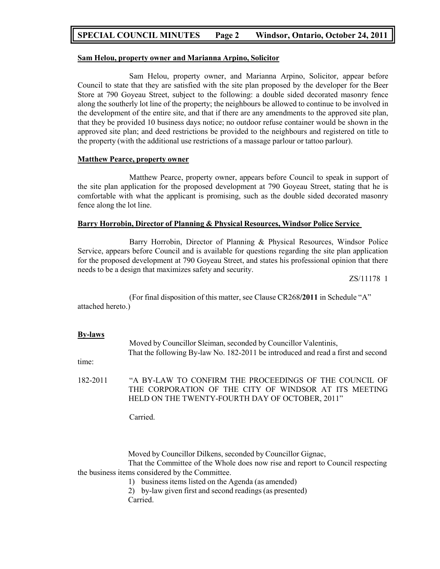# **SPECIAL COUNCIL MINUTES Page 2 Windsor, Ontario, October 24, 2011**

### **Sam Helou, property owner and Marianna Arpino, Solicitor**

Sam Helou, property owner, and Marianna Arpino, Solicitor, appear before Council to state that they are satisfied with the site plan proposed by the developer for the Beer Store at 790 Goyeau Street, subject to the following: a double sided decorated masonry fence along the southerly lot line of the property; the neighbours be allowed to continue to be involved in the development of the entire site, and that if there are any amendments to the approved site plan, that they be provided 10 business days notice; no outdoor refuse container would be shown in the approved site plan; and deed restrictions be provided to the neighbours and registered on title to the property (with the additional use restrictions of a massage parlour or tattoo parlour).

### **Matthew Pearce, property owner**

Matthew Pearce, property owner, appears before Council to speak in support of the site plan application for the proposed development at 790 Goyeau Street, stating that he is comfortable with what the applicant is promising, such as the double sided decorated masonry fence along the lot line.

### **Barry Horrobin, Director of Planning & Physical Resources, Windsor Police Service**

Barry Horrobin, Director of Planning & Physical Resources, Windsor Police Service, appears before Council and is available for questions regarding the site plan application for the proposed development at 790 Goyeau Street, and states his professional opinion that there needs to be a design that maximizes safety and security.

ZS/11178 1

(For final disposition of this matter, see Clause CR268**/2011** in Schedule "A" attached hereto.)

#### **By-laws**

time: Moved by Councillor Sleiman, seconded by Councillor Valentinis, That the following By-law No. 182-2011 be introduced and read a first and second 182-2011 "A BY-LAW TO CONFIRM THE PROCEEDINGS OF THE COUNCIL OF THE CORPORATION OF THE CITY OF WINDSOR AT ITS MEETING HELD ON THE TWENTY-FOURTH DAY OF OCTOBER, 2011"

Carried.

Moved by Councillor Dilkens, seconded by Councillor Gignac, That the Committee of the Whole does now rise and report to Council respecting the business items considered by the Committee.

1) business items listed on the Agenda (as amended)

2) by-law given first and second readings (as presented)

Carried.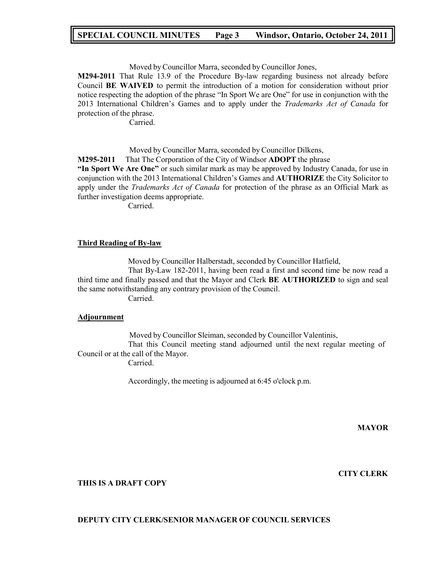# **SPECIAL COUNCIL MINUTES Page 3 Windsor, Ontario, October 24, 2011**

Moved by Councillor Marra, seconded by Councillor Jones,

**M294-2011** That Rule 13.9 of the Procedure By-law regarding business not already before Council **BE WAIVED** to permit the introduction of a motion for consideration without prior notice respecting the adoption of the phrase "In Sport We are One" for use in conjunction with the 2013 International Children's Games and to apply under the *Trademarks Act of Canada* for protection of the phrase.

Carried.

Moved by Councillor Marra, seconded by Councillor Dilkens,

**M295-2011** That The Corporation of the City of Windsor **ADOPT** the phrase

**"In Sport We Are One"** or such similar mark as may be approved by Industry Canada, for use in conjunction with the 2013 International Children's Games and **AUTHORIZE** the City Solicitor to apply under the *Trademarks Act of Canada* for protection of the phrase as an Official Mark as further investigation deems appropriate.

Carried.

#### **Third Reading of By-law**

Moved by Councillor Halberstadt, seconded by Councillor Hatfield,

That By-Law 182-2011, having been read a first and second time be now read a third time and finally passed and that the Mayor and Clerk **BE AUTHORIZED** to sign and seal the same notwithstanding any contrary provision of the Council.

Carried.

#### **Adjournment**

Moved by Councillor Sleiman, seconded by Councillor Valentinis, That this Council meeting stand adjourned until the next regular meeting of Council or at the call of the Mayor.

Carried.

Accordingly, the meeting is adjourned at 6:45 o'clock p.m.

**MAYOR**

**CITY CLERK**

### **THIS IS A DRAFT COPY**

## **DEPUTY CITY CLERK/SENIOR MANAGER OF COUNCIL SERVICES**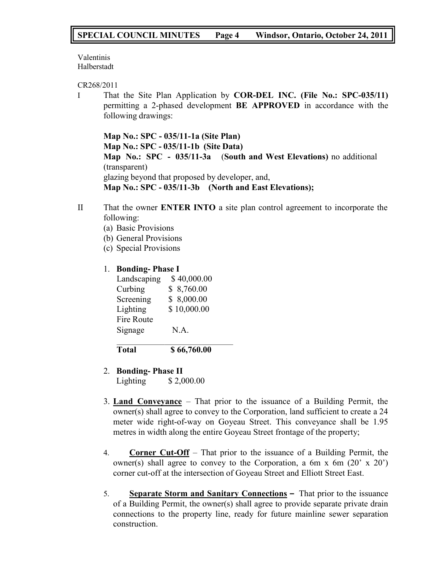Valentinis Halberstadt

CR268/2011

I That the Site Plan Application by **COR-DEL INC. (File No.: SPC-035/11)** permitting a 2-phased development **BE APPROVED** in accordance with the following drawings:

**Map No.: SPC - 035/11-1a (Site Plan) Map No.: SPC - 035/11-1b (Site Data) Map No.: SPC - 035/11-3a** (**South and West Elevations)** no additional (transparent) glazing beyond that proposed by developer, and, **Map No.: SPC - 035/11-3b (North and East Elevations);**

- II That the owner **ENTER INTO** a site plan control agreement to incorporate the following:
	- (a) Basic Provisions
	- (b) General Provisions
	- (c) Special Provisions

# 1. **Bonding- Phase I**

| Landscaping       | \$40,000.00 |
|-------------------|-------------|
| Curbing           | \$8,760.00  |
| Screening         | \$8,000.00  |
| Lighting          | \$10,000.00 |
| <b>Fire Route</b> |             |
| Signage           | N.A.        |
|                   |             |
| Total             | \$66,760.00 |

- 2. **Bonding- Phase II** Lighting \$ 2,000.00
- 3. **Land Conveyance** That prior to the issuance of a Building Permit, the owner(s) shall agree to convey to the Corporation, land sufficient to create a 24 meter wide right-of-way on Goyeau Street. This conveyance shall be 1.95 metres in width along the entire Goyeau Street frontage of the property;
- 4. **Corner Cut-Off** That prior to the issuance of a Building Permit, the owner(s) shall agree to convey to the Corporation, a 6m x 6m (20' x 20') corner cut-off at the intersection of Goyeau Street and Elliott Street East.
- 5. **Separate Storm and Sanitary Connections –** That prior to the issuance of a Building Permit, the owner(s) shall agree to provide separate private drain connections to the property line, ready for future mainline sewer separation construction.